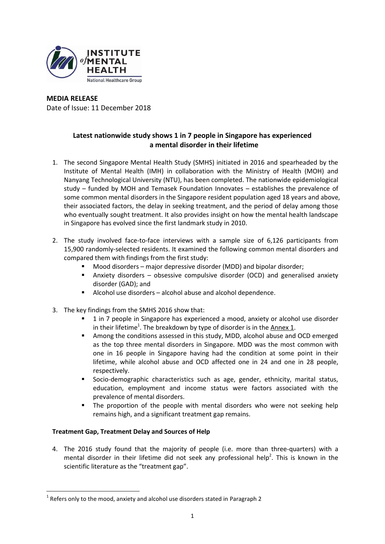

# **MEDIA RELEASE** Date of Issue: 11 December 2018

# **Latest nationwide study shows 1 in 7 people in Singapore has experienced a mental disorder in their lifetime**

- 1. The second Singapore Mental Health Study (SMHS) initiated in 2016 and spearheaded by the Institute of Mental Health (IMH) in collaboration with the Ministry of Health (MOH) and Nanyang Technological University (NTU), has been completed. The nationwide epidemiological study – funded by MOH and Temasek Foundation Innovates – establishes the prevalence of some common mental disorders in the Singapore resident population aged 18 years and above, their associated factors, the delay in seeking treatment, and the period of delay among those who eventually sought treatment. It also provides insight on how the mental health landscape in Singapore has evolved since the first landmark study in 2010.
- 2. The study involved face-to-face interviews with a sample size of 6,126 participants from 15,900 randomly-selected residents. It examined the following common mental disorders and compared them with findings from the first study:
	- Mood disorders major depressive disorder (MDD) and bipolar disorder;
	- Anxiety disorders obsessive compulsive disorder (OCD) and generalised anxiety disorder (GAD); and
	- Alcohol use disorders alcohol abuse and alcohol dependence.
- 3. The key findings from the SMHS 2016 show that:
	- 1 in 7 people in Singapore has experienced a mood, anxiety or alcohol use disorder in their lifetime<sup>1</sup>. The breakdown by type of disorder is in the  $\underline{\text{Annex 1}}$ .
	- Among the conditions assessed in this study, MDD, alcohol abuse and OCD emerged as the top three mental disorders in Singapore. MDD was the most common with one in 16 people in Singapore having had the condition at some point in their lifetime, while alcohol abuse and OCD affected one in 24 and one in 28 people, respectively.
	- Socio-demographic characteristics such as age, gender, ethnicity, marital status, education, employment and income status were factors associated with the prevalence of mental disorders.
	- The proportion of the people with mental disorders who were not seeking help remains high, and a significant treatment gap remains.

# **Treatment Gap, Treatment Delay and Sources of Help**

<u>.</u>

4. The 2016 study found that the majority of people (i.e. more than three-quarters) with a mental disorder in their lifetime did not seek any professional help<sup>2</sup>. This is known in the scientific literature as the "treatment gap".

 $^1$  Refers only to the mood, anxiety and alcohol use disorders stated in Paragraph 2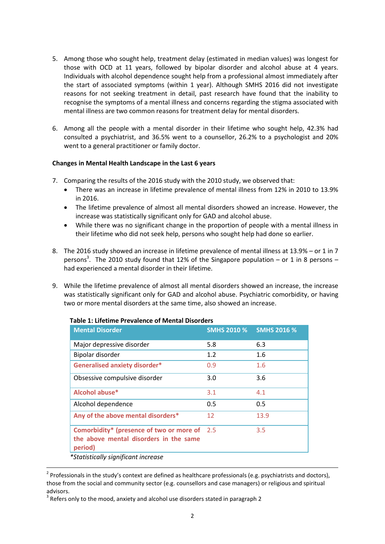- 5. Among those who sought help, treatment delay (estimated in median values) was longest for those with OCD at 11 years, followed by bipolar disorder and alcohol abuse at 4 years. Individuals with alcohol dependence sought help from a professional almost immediately after the start of associated symptoms (within 1 year). Although SMHS 2016 did not investigate reasons for not seeking treatment in detail, past research have found that the inability to recognise the symptoms of a mental illness and concerns regarding the stigma associated with mental illness are two common reasons for treatment delay for mental disorders.
- 6. Among all the people with a mental disorder in their lifetime who sought help, 42.3% had consulted a psychiatrist, and 36.5% went to a counsellor, 26.2% to a psychologist and 20% went to a general practitioner or family doctor.

# **Changes in Mental Health Landscape in the Last 6 years**

- 7. Comparing the results of the 2016 study with the 2010 study, we observed that:
	- There was an increase in lifetime prevalence of mental illness from 12% in 2010 to 13.9% in 2016.
	- The lifetime prevalence of almost all mental disorders showed an increase. However, the increase was statistically significant only for GAD and alcohol abuse.
	- While there was no significant change in the proportion of people with a mental illness in their lifetime who did not seek help, persons who sought help had done so earlier.
- 8. The 2016 study showed an increase in lifetime prevalence of mental illness at 13.9% or 1 in 7 persons<sup>3</sup>. The 2010 study found that 12% of the Singapore population – or 1 in 8 persons – had experienced a mental disorder in their lifetime.
- 9. While the lifetime prevalence of almost all mental disorders showed an increase, the increase was statistically significant only for GAD and alcohol abuse. Psychiatric comorbidity, or having two or more mental disorders at the same time, also showed an increase.

| <b>Mental Disorder</b>                                                                        | <b>SMHS 2010 %</b> | <b>SMHS 2016 %</b> |
|-----------------------------------------------------------------------------------------------|--------------------|--------------------|
| Major depressive disorder                                                                     | 5.8                | 6.3                |
| Bipolar disorder                                                                              | 1.2                | 1.6                |
| <b>Generalised anxiety disorder*</b>                                                          | 0.9                | 1.6                |
| Obsessive compulsive disorder                                                                 | 3.0                | 3.6                |
| Alcohol abuse*                                                                                | 3.1                | 4.1                |
| Alcohol dependence                                                                            | 0.5                | 0.5                |
| Any of the above mental disorders*                                                            | 12                 | 13.9               |
| Comorbidity* (presence of two or more of<br>the above mental disorders in the same<br>period) | 2.5                | 3.5                |
| *Statistically significant increase                                                           |                    |                    |

## **Table 1: Lifetime Prevalence of Mental Disorders**

1

 $2$  Professionals in the study's context are defined as healthcare professionals (e.g. psychiatrists and doctors), those from the social and community sector (e.g. counsellors and case managers) or religious and spiritual advisors.

 $3$  Refers only to the mood, anxiety and alcohol use disorders stated in paragraph 2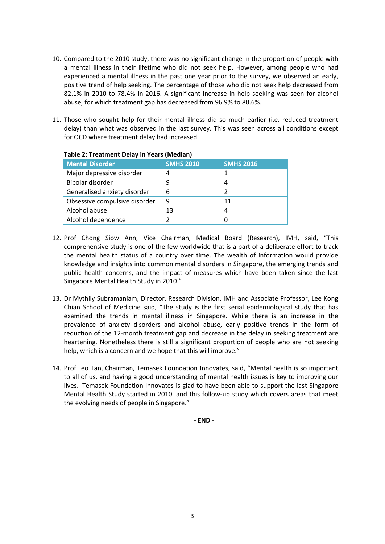- 10. Compared to the 2010 study, there was no significant change in the proportion of people with a mental illness in their lifetime who did not seek help. However, among people who had experienced a mental illness in the past one year prior to the survey, we observed an early, positive trend of help seeking. The percentage of those who did not seek help decreased from 82.1% in 2010 to 78.4% in 2016. A significant increase in help seeking was seen for alcohol abuse, for which treatment gap has decreased from 96.9% to 80.6%.
- 11. Those who sought help for their mental illness did so much earlier (i.e. reduced treatment delay) than what was observed in the last survey. This was seen across all conditions except for OCD where treatment delay had increased.

| Table 2. Treatment Delay III Tears (Wiedian) |                  |                  |  |
|----------------------------------------------|------------------|------------------|--|
| <b>Mental Disorder</b>                       | <b>SMHS 2010</b> | <b>SMHS 2016</b> |  |
| Major depressive disorder                    |                  |                  |  |
| Bipolar disorder                             |                  |                  |  |
| Generalised anxiety disorder                 | 6                |                  |  |
| Obsessive compulsive disorder                | 9                | 11               |  |
| Alcohol abuse                                | 13               |                  |  |
| Alcohol dependence                           |                  |                  |  |
|                                              |                  |                  |  |

# **Table 2: Treatment Delay in Years (Median)**

- 12. Prof Chong Siow Ann, Vice Chairman, Medical Board (Research), IMH, said, "This comprehensive study is one of the few worldwide that is a part of a deliberate effort to track the mental health status of a country over time. The wealth of information would provide knowledge and insights into common mental disorders in Singapore, the emerging trends and public health concerns, and the impact of measures which have been taken since the last Singapore Mental Health Study in 2010."
- 13. Dr Mythily Subramaniam, Director, Research Division, IMH and Associate Professor, Lee Kong Chian School of Medicine said, "The study is the first serial epidemiological study that has examined the trends in mental illness in Singapore. While there is an increase in the prevalence of anxiety disorders and alcohol abuse, early positive trends in the form of reduction of the 12-month treatment gap and decrease in the delay in seeking treatment are heartening. Nonetheless there is still a significant proportion of people who are not seeking help, which is a concern and we hope that this will improve."
- 14. Prof Leo Tan, Chairman, Temasek Foundation Innovates, said, "Mental health is so important to all of us, and having a good understanding of mental health issues is key to improving our lives. Temasek Foundation Innovates is glad to have been able to support the last Singapore Mental Health Study started in 2010, and this follow-up study which covers areas that meet the evolving needs of people in Singapore."

**- END -**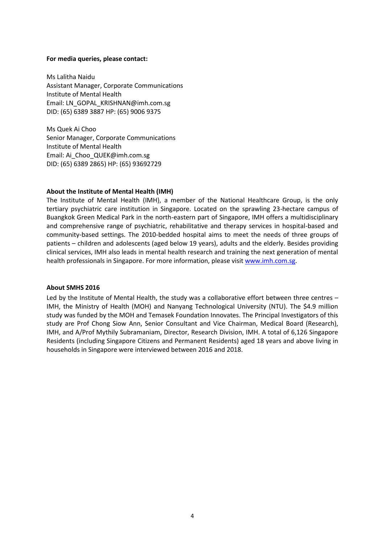#### **For media queries, please contact:**

Ms Lalitha Naidu Assistant Manager, Corporate Communications Institute of Mental Health Email: LN\_GOPAL\_KRISHNAN@imh.com.sg DID: (65) 6389 3887 HP: (65) 9006 9375

Ms Quek Ai Choo Senior Manager, Corporate Communications Institute of Mental Health Email: Ai\_Choo\_QUEK@imh.com.sg DID: (65) 6389 2865) HP: (65) 93692729

#### **About the Institute of Mental Health (IMH)**

The Institute of Mental Health (IMH), a member of the National Healthcare Group, is the only tertiary psychiatric care institution in Singapore. Located on the sprawling 23-hectare campus of Buangkok Green Medical Park in the north-eastern part of Singapore, IMH offers a multidisciplinary and comprehensive range of psychiatric, rehabilitative and therapy services in hospital-based and community-based settings. The 2010-bedded hospital aims to meet the needs of three groups of patients – children and adolescents (aged below 19 years), adults and the elderly. Besides providing clinical services, IMH also leads in mental health research and training the next generation of mental health professionals in Singapore. For more information, please visit [www.imh.com.sg.](http://www.imh.com.sg/)

#### **About SMHS 2016**

Led by the Institute of Mental Health, the study was a collaborative effort between three centres – IMH, the Ministry of Health (MOH) and Nanyang Technological University (NTU). The \$4.9 million study was funded by the MOH and Temasek Foundation Innovates. The Principal Investigators of this study are Prof Chong Siow Ann, Senior Consultant and Vice Chairman, Medical Board (Research), IMH, and A/Prof Mythily Subramaniam, Director, Research Division, IMH. A total of 6,126 Singapore Residents (including Singapore Citizens and Permanent Residents) aged 18 years and above living in households in Singapore were interviewed between 2016 and 2018.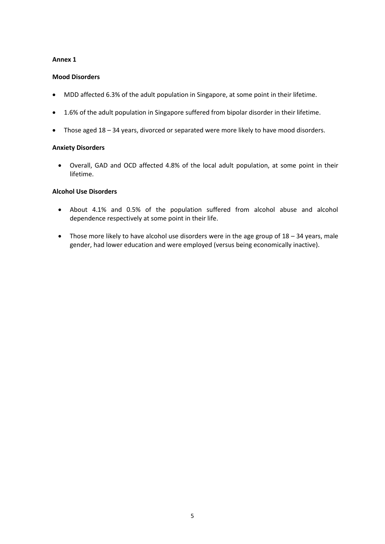# **Mood Disorders**

- MDD affected 6.3% of the adult population in Singapore, at some point in their lifetime.
- 1.6% of the adult population in Singapore suffered from bipolar disorder in their lifetime.
- Those aged 18 34 years, divorced or separated were more likely to have mood disorders.

### **Anxiety Disorders**

 Overall, GAD and OCD affected 4.8% of the local adult population, at some point in their lifetime.

# **Alcohol Use Disorders**

- About 4.1% and 0.5% of the population suffered from alcohol abuse and alcohol dependence respectively at some point in their life.
- Those more likely to have alcohol use disorders were in the age group of 18 34 years, male gender, had lower education and were employed (versus being economically inactive).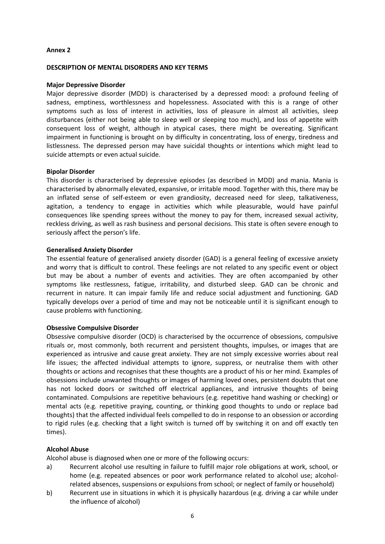#### **DESCRIPTION OF MENTAL DISORDERS AND KEY TERMS**

#### **Major Depressive Disorder**

Major depressive disorder (MDD) is characterised by a depressed mood: a profound feeling of sadness, emptiness, worthlessness and hopelessness. Associated with this is a range of other symptoms such as loss of interest in activities, loss of pleasure in almost all activities, sleep disturbances (either not being able to sleep well or sleeping too much), and loss of appetite with consequent loss of weight, although in atypical cases, there might be overeating. Significant impairment in functioning is brought on by difficulty in concentrating, loss of energy, tiredness and listlessness. The depressed person may have suicidal thoughts or intentions which might lead to suicide attempts or even actual suicide.

#### **Bipolar Disorder**

This disorder is characterised by depressive episodes (as described in MDD) and mania. Mania is characterised by abnormally elevated, expansive, or irritable mood. Together with this, there may be an inflated sense of self-esteem or even grandiosity, decreased need for sleep, talkativeness, agitation, a tendency to engage in activities which while pleasurable, would have painful consequences like spending sprees without the money to pay for them, increased sexual activity, reckless driving, as well as rash business and personal decisions. This state is often severe enough to seriously affect the person's life.

#### **Generalised Anxiety Disorder**

The essential feature of generalised anxiety disorder (GAD) is a general feeling of excessive anxiety and worry that is difficult to control. These feelings are not related to any specific event or object but may be about a number of events and activities. They are often accompanied by other symptoms like restlessness, fatigue, irritability, and disturbed sleep. GAD can be chronic and recurrent in nature. It can impair family life and reduce social adjustment and functioning. GAD typically develops over a period of time and may not be noticeable until it is significant enough to cause problems with functioning.

#### **Obsessive Compulsive Disorder**

Obsessive compulsive disorder (OCD) is characterised by the occurrence of obsessions, compulsive rituals or, most commonly, both recurrent and persistent thoughts, impulses, or images that are experienced as intrusive and cause great anxiety. They are not simply excessive worries about real life issues; the affected individual attempts to ignore, suppress, or neutralise them with other thoughts or actions and recognises that these thoughts are a product of his or her mind. Examples of obsessions include unwanted thoughts or images of harming loved ones, persistent doubts that one has not locked doors or switched off electrical appliances, and intrusive thoughts of being contaminated. Compulsions are repetitive behaviours (e.g. repetitive hand washing or checking) or mental acts (e.g. repetitive praying, counting, or thinking good thoughts to undo or replace bad thoughts) that the affected individual feels compelled to do in response to an obsession or according to rigid rules (e.g. checking that a light switch is turned off by switching it on and off exactly ten times).

## **Alcohol Abuse**

Alcohol abuse is diagnosed when one or more of the following occurs:

- a) Recurrent alcohol use resulting in failure to fulfill major role obligations at work, school, or home (e.g. repeated absences or poor work performance related to alcohol use; alcoholrelated absences, suspensions or expulsions from school; or neglect of family or household)
- b) Recurrent use in situations in which it is physically hazardous (e.g. driving a car while under the influence of alcohol)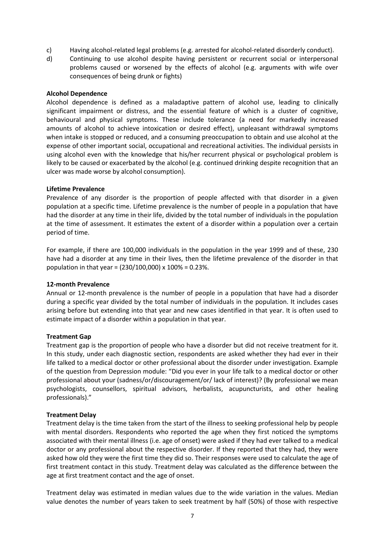- c) Having alcohol-related legal problems (e.g. arrested for alcohol-related disorderly conduct).
- d) Continuing to use alcohol despite having persistent or recurrent social or interpersonal problems caused or worsened by the effects of alcohol (e.g. arguments with wife over consequences of being drunk or fights)

### **Alcohol Dependence**

Alcohol dependence is defined as a maladaptive pattern of alcohol use, leading to clinically significant impairment or distress, and the essential feature of which is a cluster of cognitive, behavioural and physical symptoms. These include tolerance (a need for markedly increased amounts of alcohol to achieve intoxication or desired effect), unpleasant withdrawal symptoms when intake is stopped or reduced, and a consuming preoccupation to obtain and use alcohol at the expense of other important social, occupational and recreational activities. The individual persists in using alcohol even with the knowledge that his/her recurrent physical or psychological problem is likely to be caused or exacerbated by the alcohol (e.g. continued drinking despite recognition that an ulcer was made worse by alcohol consumption).

#### **Lifetime Prevalence**

Prevalence of any disorder is the proportion of people affected with that disorder in a given population at a specific time. Lifetime prevalence is the number of people in a population that have had the disorder at any time in their life, divided by the total number of individuals in the population at the time of assessment. It estimates the extent of a disorder within a population over a certain period of time.

For example, if there are 100,000 individuals in the population in the year 1999 and of these, 230 have had a disorder at any time in their lives, then the lifetime prevalence of the disorder in that population in that year = (230/100,000) x 100% = 0.23%.

## **12-month Prevalence**

Annual or 12-month prevalence is the number of people in a population that have had a disorder during a specific year divided by the total number of individuals in the population. It includes cases arising before but extending into that year and new cases identified in that year. It is often used to estimate impact of a disorder within a population in that year.

#### **Treatment Gap**

Treatment gap is the proportion of people who have a disorder but did not receive treatment for it. In this study, under each diagnostic section, respondents are asked whether they had ever in their life talked to a medical doctor or other professional about the disorder under investigation. Example of the question from Depression module: "Did you ever in your life talk to a medical doctor or other professional about your (sadness/or/discouragement/or/ lack of interest)? (By professional we mean psychologists, counsellors, spiritual advisors, herbalists, acupuncturists, and other healing professionals)."

#### **Treatment Delay**

Treatment delay is the time taken from the start of the illness to seeking professional help by people with mental disorders. Respondents who reported the age when they first noticed the symptoms associated with their mental illness (i.e. age of onset) were asked if they had ever talked to a medical doctor or any professional about the respective disorder. If they reported that they had, they were asked how old they were the first time they did so. Their responses were used to calculate the age of first treatment contact in this study. Treatment delay was calculated as the difference between the age at first treatment contact and the age of onset.

Treatment delay was estimated in median values due to the wide variation in the values. Median value denotes the number of years taken to seek treatment by half (50%) of those with respective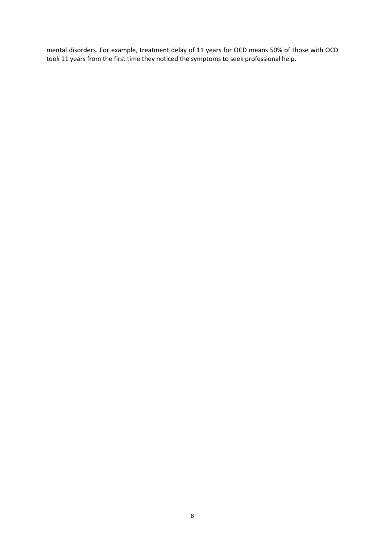mental disorders. For example, treatment delay of 11 years for OCD means 50% of those with OCD took 11 years from the first time they noticed the symptoms to seek professional help.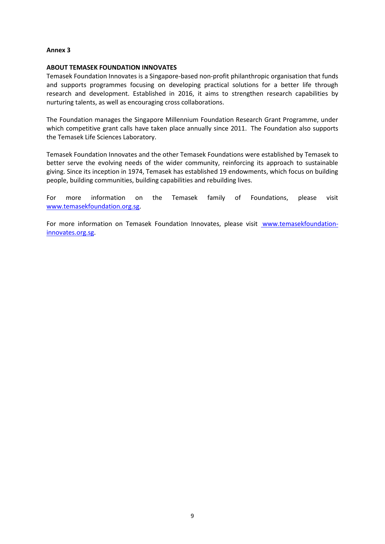### **ABOUT TEMASEK FOUNDATION INNOVATES**

Temasek Foundation Innovates is a Singapore-based non-profit philanthropic organisation that funds and supports programmes focusing on developing practical solutions for a better life through research and development. Established in 2016, it aims to strengthen research capabilities by nurturing talents, as well as encouraging cross collaborations.

The Foundation manages the Singapore Millennium Foundation Research Grant Programme, under which competitive grant calls have taken place annually since 2011. The Foundation also supports the Temasek Life Sciences Laboratory.

Temasek Foundation Innovates and the other Temasek Foundations were established by Temasek to better serve the evolving needs of the wider community, reinforcing its approach to sustainable giving. Since its inception in 1974, Temasek has established 19 endowments, which focus on building people, building communities, building capabilities and rebuilding lives.

For more information on the Temasek family of Foundations, please visit [www.temasekfoundation.org.sg.](https://imsva91-ctp.trendmicro.com/wis/clicktime/v1/query?url=http%3a%2f%2fwww.temasekfoundation.org.sg&umid=E914B07D-7983-CF05-AFEB-00DA79E3638B&auth=6e3fe59570831a389716849e93b5d483c90c3fe4-465a0875287d90588870e8daf866883134735ae6)

For more information on Temasek Foundation Innovates, please visit [www.temasekfoundation](https://imsva91-ctp.trendmicro.com/wis/clicktime/v1/query?url=http%3a%2f%2ftemasekfoundation%2dinnovates.org.sg&umid=E914B07D-7983-CF05-AFEB-00DA79E3638B&auth=6e3fe59570831a389716849e93b5d483c90c3fe4-55020f3070e2f356af1cecaa35202e8e0fb0d954)[innovates.org.sg.](https://imsva91-ctp.trendmicro.com/wis/clicktime/v1/query?url=http%3a%2f%2ftemasekfoundation%2dinnovates.org.sg&umid=E914B07D-7983-CF05-AFEB-00DA79E3638B&auth=6e3fe59570831a389716849e93b5d483c90c3fe4-55020f3070e2f356af1cecaa35202e8e0fb0d954)